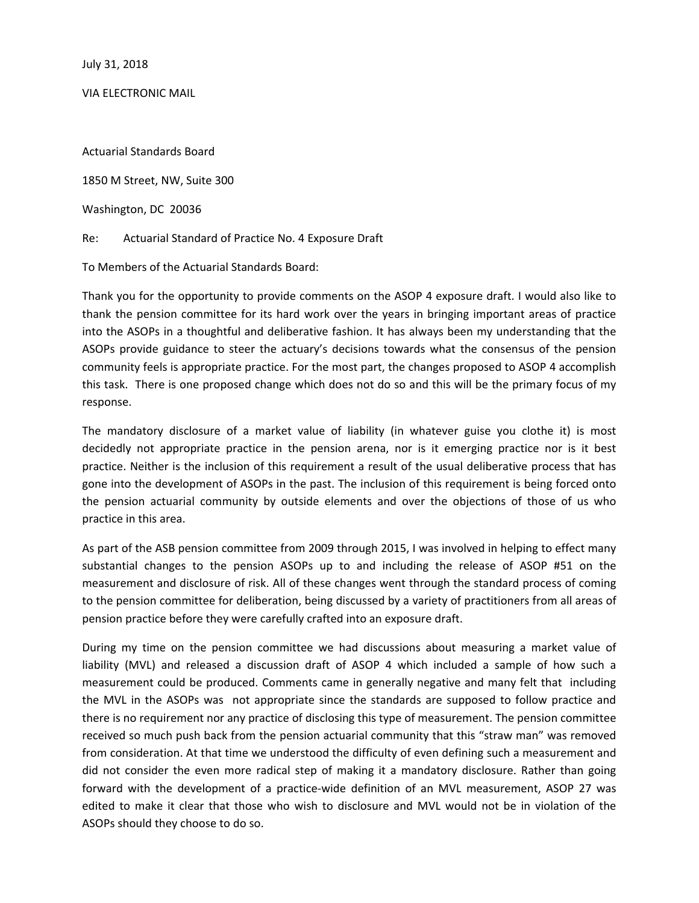July 31, 2018

VIA ELECTRONIC MAIL

Actuarial Standards Board

1850 M Street, NW, Suite 300

Washington, DC 20036

Re: Actuarial Standard of Practice No. 4 Exposure Draft

To Members of the Actuarial Standards Board:

Thank you for the opportunity to provide comments on the ASOP 4 exposure draft. I would also like to thank the pension committee for its hard work over the years in bringing important areas of practice into the ASOPs in a thoughtful and deliberative fashion. It has always been my understanding that the ASOPs provide guidance to steer the actuary's decisions towards what the consensus of the pension community feels is appropriate practice. For the most part, the changes proposed to ASOP 4 accomplish this task. There is one proposed change which does not do so and this will be the primary focus of my response.

The mandatory disclosure of a market value of liability (in whatever guise you clothe it) is most decidedly not appropriate practice in the pension arena, nor is it emerging practice nor is it best practice. Neither is the inclusion of this requirement a result of the usual deliberative process that has gone into the development of ASOPs in the past. The inclusion of this requirement is being forced onto the pension actuarial community by outside elements and over the objections of those of us who practice in this area.

As part of the ASB pension committee from 2009 through 2015, I was involved in helping to effect many substantial changes to the pension ASOPs up to and including the release of ASOP #51 on the measurement and disclosure of risk. All of these changes went through the standard process of coming to the pension committee for deliberation, being discussed by a variety of practitioners from all areas of pension practice before they were carefully crafted into an exposure draft.

During my time on the pension committee we had discussions about measuring a market value of liability (MVL) and released a discussion draft of ASOP 4 which included a sample of how such a measurement could be produced. Comments came in generally negative and many felt that including the MVL in the ASOPs was not appropriate since the standards are supposed to follow practice and there is no requirement nor any practice of disclosing this type of measurement. The pension committee received so much push back from the pension actuarial community that this "straw man" was removed from consideration. At that time we understood the difficulty of even defining such a measurement and did not consider the even more radical step of making it a mandatory disclosure. Rather than going forward with the development of a practice-wide definition of an MVL measurement, ASOP 27 was edited to make it clear that those who wish to disclosure and MVL would not be in violation of the ASOPs should they choose to do so.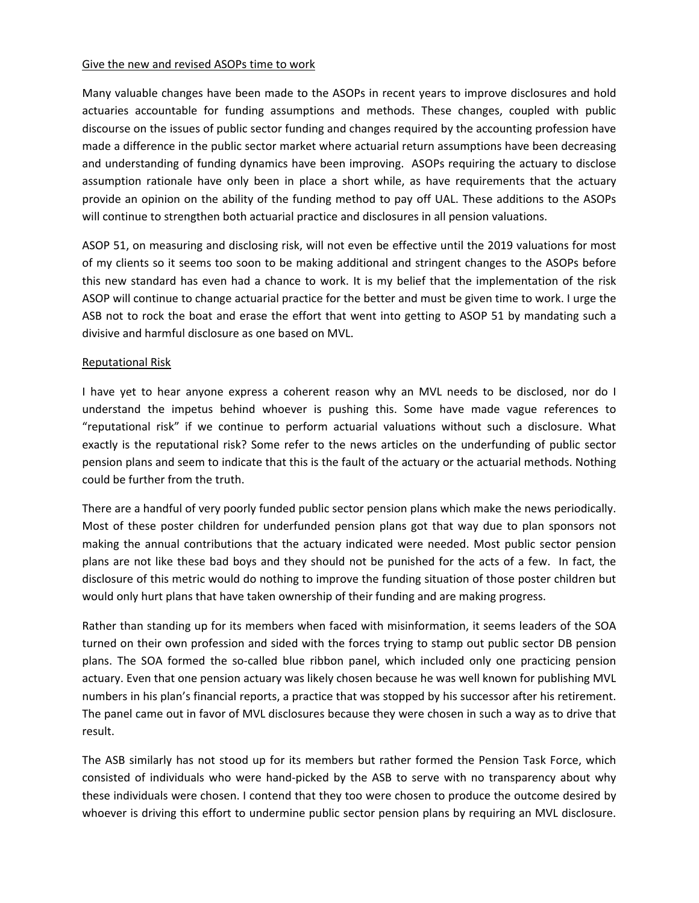#### Give the new and revised ASOPs time to work

Many valuable changes have been made to the ASOPs in recent years to improve disclosures and hold actuaries accountable for funding assumptions and methods. These changes, coupled with public discourse on the issues of public sector funding and changes required by the accounting profession have made a difference in the public sector market where actuarial return assumptions have been decreasing and understanding of funding dynamics have been improving. ASOPs requiring the actuary to disclose assumption rationale have only been in place a short while, as have requirements that the actuary provide an opinion on the ability of the funding method to pay off UAL. These additions to the ASOPs will continue to strengthen both actuarial practice and disclosures in all pension valuations.

ASOP 51, on measuring and disclosing risk, will not even be effective until the 2019 valuations for most of my clients so it seems too soon to be making additional and stringent changes to the ASOPs before this new standard has even had a chance to work. It is my belief that the implementation of the risk ASOP will continue to change actuarial practice for the better and must be given time to work. I urge the ASB not to rock the boat and erase the effort that went into getting to ASOP 51 by mandating such a divisive and harmful disclosure as one based on MVL.

# Reputational Risk

I have yet to hear anyone express a coherent reason why an MVL needs to be disclosed, nor do I understand the impetus behind whoever is pushing this. Some have made vague references to "reputational risk" if we continue to perform actuarial valuations without such a disclosure. What exactly is the reputational risk? Some refer to the news articles on the underfunding of public sector pension plans and seem to indicate that this is the fault of the actuary or the actuarial methods. Nothing could be further from the truth.

There are a handful of very poorly funded public sector pension plans which make the news periodically. Most of these poster children for underfunded pension plans got that way due to plan sponsors not making the annual contributions that the actuary indicated were needed. Most public sector pension plans are not like these bad boys and they should not be punished for the acts of a few. In fact, the disclosure of this metric would do nothing to improve the funding situation of those poster children but would only hurt plans that have taken ownership of their funding and are making progress.

Rather than standing up for its members when faced with misinformation, it seems leaders of the SOA turned on their own profession and sided with the forces trying to stamp out public sector DB pension plans. The SOA formed the so‐called blue ribbon panel, which included only one practicing pension actuary. Even that one pension actuary was likely chosen because he was well known for publishing MVL numbers in his plan's financial reports, a practice that was stopped by his successor after his retirement. The panel came out in favor of MVL disclosures because they were chosen in such a way as to drive that result.

The ASB similarly has not stood up for its members but rather formed the Pension Task Force, which consisted of individuals who were hand‐picked by the ASB to serve with no transparency about why these individuals were chosen. I contend that they too were chosen to produce the outcome desired by whoever is driving this effort to undermine public sector pension plans by requiring an MVL disclosure.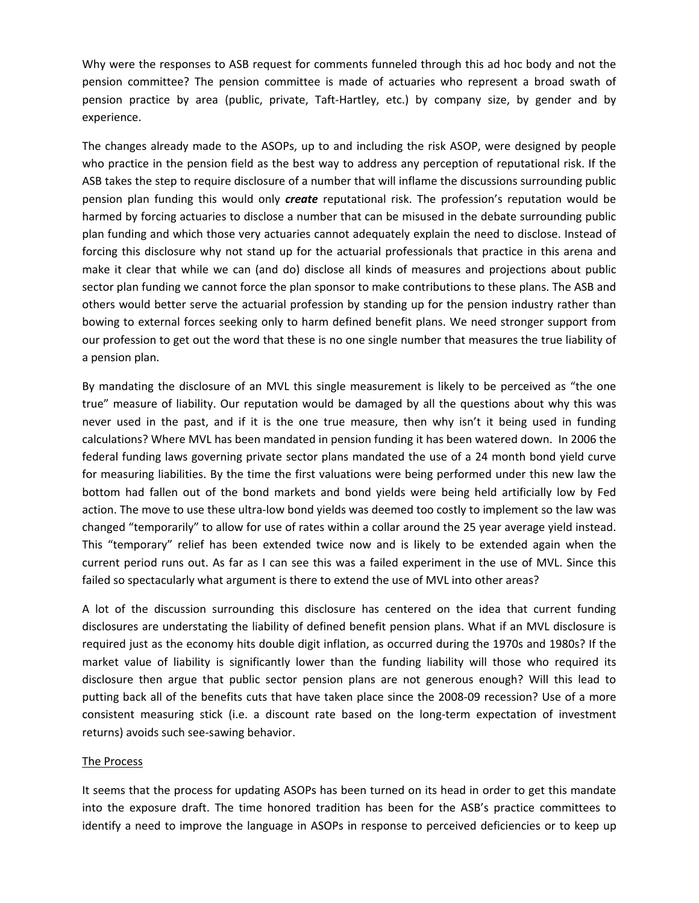Why were the responses to ASB request for comments funneled through this ad hoc body and not the pension committee? The pension committee is made of actuaries who represent a broad swath of pension practice by area (public, private, Taft‐Hartley, etc.) by company size, by gender and by experience.

The changes already made to the ASOPs, up to and including the risk ASOP, were designed by people who practice in the pension field as the best way to address any perception of reputational risk. If the ASB takes the step to require disclosure of a number that will inflame the discussions surrounding public pension plan funding this would only *create* reputational risk. The profession's reputation would be harmed by forcing actuaries to disclose a number that can be misused in the debate surrounding public plan funding and which those very actuaries cannot adequately explain the need to disclose. Instead of forcing this disclosure why not stand up for the actuarial professionals that practice in this arena and make it clear that while we can (and do) disclose all kinds of measures and projections about public sector plan funding we cannot force the plan sponsor to make contributions to these plans. The ASB and others would better serve the actuarial profession by standing up for the pension industry rather than bowing to external forces seeking only to harm defined benefit plans. We need stronger support from our profession to get out the word that these is no one single number that measures the true liability of a pension plan.

By mandating the disclosure of an MVL this single measurement is likely to be perceived as "the one true" measure of liability. Our reputation would be damaged by all the questions about why this was never used in the past, and if it is the one true measure, then why isn't it being used in funding calculations? Where MVL has been mandated in pension funding it has been watered down. In 2006 the federal funding laws governing private sector plans mandated the use of a 24 month bond yield curve for measuring liabilities. By the time the first valuations were being performed under this new law the bottom had fallen out of the bond markets and bond yields were being held artificially low by Fed action. The move to use these ultra-low bond yields was deemed too costly to implement so the law was changed "temporarily" to allow for use of rates within a collar around the 25 year average yield instead. This "temporary" relief has been extended twice now and is likely to be extended again when the current period runs out. As far as I can see this was a failed experiment in the use of MVL. Since this failed so spectacularly what argument is there to extend the use of MVL into other areas?

A lot of the discussion surrounding this disclosure has centered on the idea that current funding disclosures are understating the liability of defined benefit pension plans. What if an MVL disclosure is required just as the economy hits double digit inflation, as occurred during the 1970s and 1980s? If the market value of liability is significantly lower than the funding liability will those who required its disclosure then argue that public sector pension plans are not generous enough? Will this lead to putting back all of the benefits cuts that have taken place since the 2008‐09 recession? Use of a more consistent measuring stick (i.e. a discount rate based on the long-term expectation of investment returns) avoids such see‐sawing behavior.

# The Process

It seems that the process for updating ASOPs has been turned on its head in order to get this mandate into the exposure draft. The time honored tradition has been for the ASB's practice committees to identify a need to improve the language in ASOPs in response to perceived deficiencies or to keep up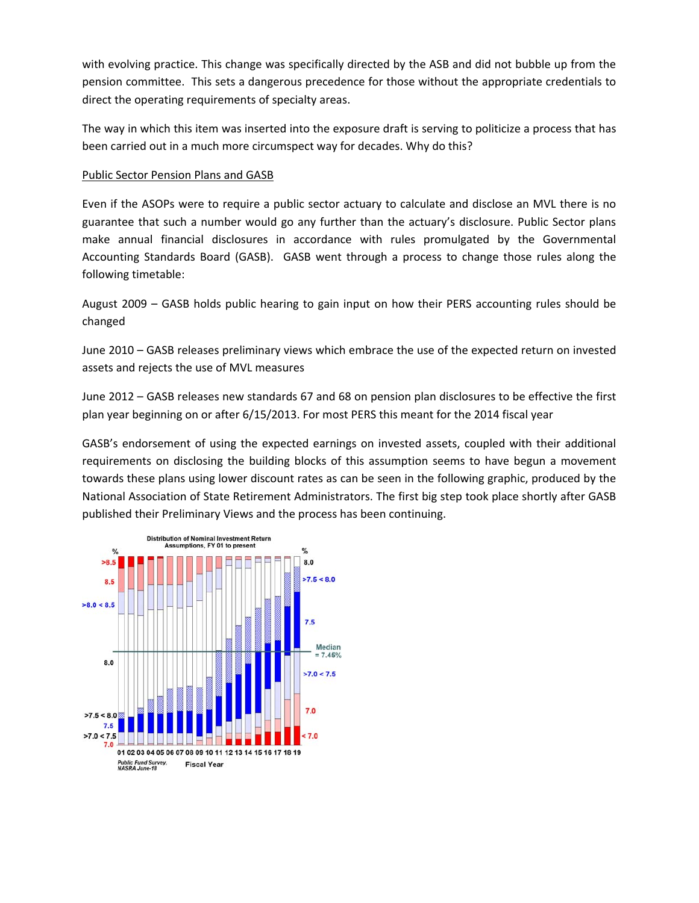with evolving practice. This change was specifically directed by the ASB and did not bubble up from the pension committee. This sets a dangerous precedence for those without the appropriate credentials to direct the operating requirements of specialty areas.

The way in which this item was inserted into the exposure draft is serving to politicize a process that has been carried out in a much more circumspect way for decades. Why do this?

### Public Sector Pension Plans and GASB

Even if the ASOPs were to require a public sector actuary to calculate and disclose an MVL there is no guarantee that such a number would go any further than the actuary's disclosure. Public Sector plans make annual financial disclosures in accordance with rules promulgated by the Governmental Accounting Standards Board (GASB). GASB went through a process to change those rules along the following timetable:

August 2009 – GASB holds public hearing to gain input on how their PERS accounting rules should be changed

June 2010 – GASB releases preliminary views which embrace the use of the expected return on invested assets and rejects the use of MVL measures

June 2012 – GASB releases new standards 67 and 68 on pension plan disclosures to be effective the first plan year beginning on or after 6/15/2013. For most PERS this meant for the 2014 fiscal year

GASB's endorsement of using the expected earnings on invested assets, coupled with their additional requirements on disclosing the building blocks of this assumption seems to have begun a movement towards these plans using lower discount rates as can be seen in the following graphic, produced by the National Association of State Retirement Administrators. The first big step took place shortly after GASB published their Preliminary Views and the process has been continuing.

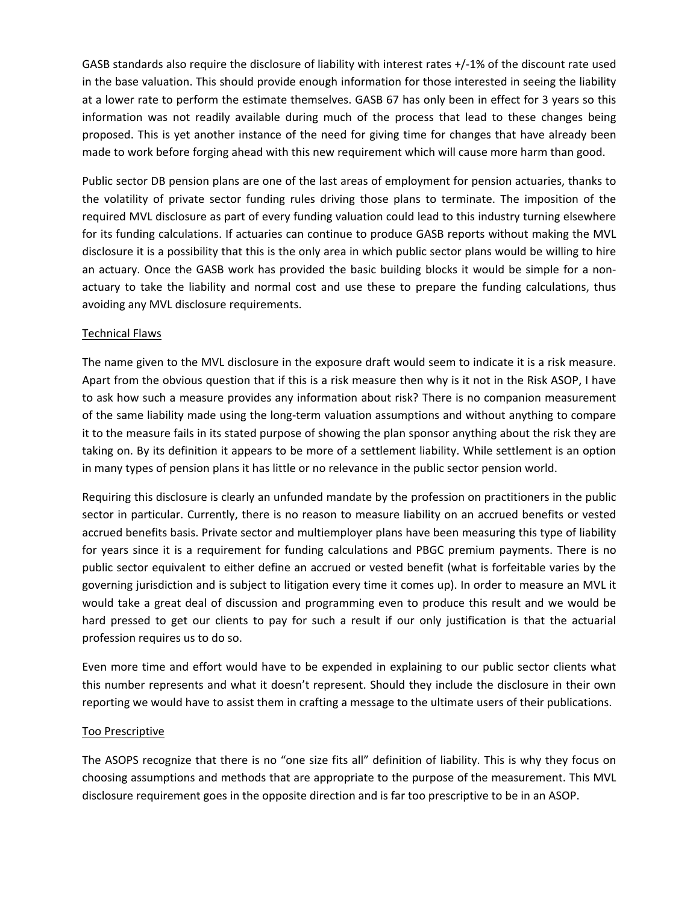GASB standards also require the disclosure of liability with interest rates +/‐1% of the discount rate used in the base valuation. This should provide enough information for those interested in seeing the liability at a lower rate to perform the estimate themselves. GASB 67 has only been in effect for 3 years so this information was not readily available during much of the process that lead to these changes being proposed. This is yet another instance of the need for giving time for changes that have already been made to work before forging ahead with this new requirement which will cause more harm than good.

Public sector DB pension plans are one of the last areas of employment for pension actuaries, thanks to the volatility of private sector funding rules driving those plans to terminate. The imposition of the required MVL disclosure as part of every funding valuation could lead to this industry turning elsewhere for its funding calculations. If actuaries can continue to produce GASB reports without making the MVL disclosure it is a possibility that this is the only area in which public sector plans would be willing to hire an actuary. Once the GASB work has provided the basic building blocks it would be simple for a nonactuary to take the liability and normal cost and use these to prepare the funding calculations, thus avoiding any MVL disclosure requirements.

# Technical Flaws

The name given to the MVL disclosure in the exposure draft would seem to indicate it is a risk measure. Apart from the obvious question that if this is a risk measure then why is it not in the Risk ASOP, I have to ask how such a measure provides any information about risk? There is no companion measurement of the same liability made using the long‐term valuation assumptions and without anything to compare it to the measure fails in its stated purpose of showing the plan sponsor anything about the risk they are taking on. By its definition it appears to be more of a settlement liability. While settlement is an option in many types of pension plans it has little or no relevance in the public sector pension world.

Requiring this disclosure is clearly an unfunded mandate by the profession on practitioners in the public sector in particular. Currently, there is no reason to measure liability on an accrued benefits or vested accrued benefits basis. Private sector and multiemployer plans have been measuring this type of liability for years since it is a requirement for funding calculations and PBGC premium payments. There is no public sector equivalent to either define an accrued or vested benefit (what is forfeitable varies by the governing jurisdiction and is subject to litigation every time it comes up). In order to measure an MVL it would take a great deal of discussion and programming even to produce this result and we would be hard pressed to get our clients to pay for such a result if our only justification is that the actuarial profession requires us to do so.

Even more time and effort would have to be expended in explaining to our public sector clients what this number represents and what it doesn't represent. Should they include the disclosure in their own reporting we would have to assist them in crafting a message to the ultimate users of their publications.

# Too Prescriptive

The ASOPS recognize that there is no "one size fits all" definition of liability. This is why they focus on choosing assumptions and methods that are appropriate to the purpose of the measurement. This MVL disclosure requirement goes in the opposite direction and is far too prescriptive to be in an ASOP.